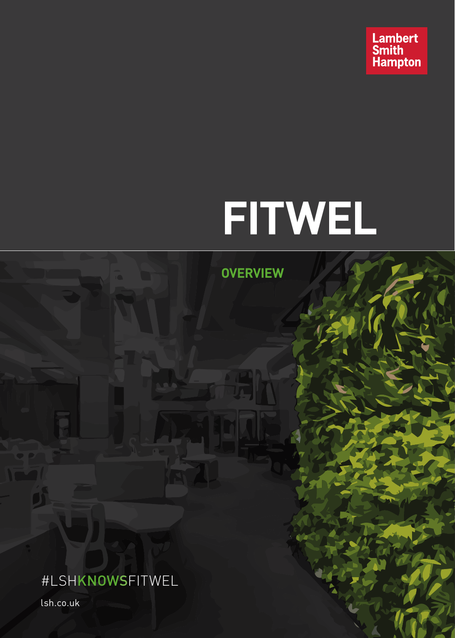

# **FITWEL**

**OVERVIEW**

#LSHKNOWSFITWEL

lsh.co.uk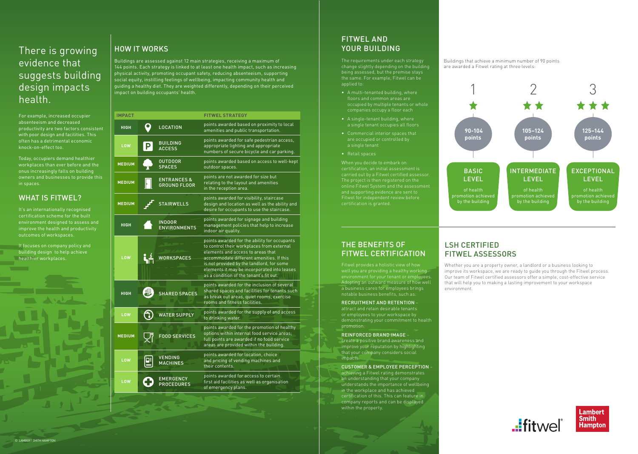For example, increased occupier absenteeism and decreased productivity are two factors consistent with poor design and facilities. This often has a detrimental economic knock-on-effect too.

Today, occupiers demand healthier workplaces than ever before and the onus increasingly falls on building owners and businesses to provide this in spaces.

# WHAT IS FITWEL?

It's an internationally recognised certification scheme for the built environment designed to assess and improve the health and productivity outcomes of workspaces.

It focuses on company policy and building design to help achieve healthier workplaces.

Buildings are assessed against 12 main strategies, receiving a maximum of 144 points. Each strategy is linked to at least one health impact, such as increasing physical activity, promoting occupant safety, reducing absenteeism, supporting social equity, instilling feelings of wellbeing, impacting community health and guiding a healthy diet. They are weighted differently, depending on their perceived impact on building occupants' health.

# There is growing evidence that suggests building design impacts health.

### Buildings that achieve a minimum number of 90 points are awarded a Fitwel rating at three levels:

The project is then registered on the online Fitwel System and the assessment and supporting evidence are sent to

|                                               | <b>FITWEL STRATEGY</b>                                                                                                                                                                                                                                                                                            |
|-----------------------------------------------|-------------------------------------------------------------------------------------------------------------------------------------------------------------------------------------------------------------------------------------------------------------------------------------------------------------------|
| <b>LOCATION</b>                               | points awarded based on proximity to local<br>amenities and public transportation.                                                                                                                                                                                                                                |
| <b>BUILDING</b><br><b>ACCESS</b>              | points awarded for safe pedestrian access,<br>appropriate lighting and appropriate<br>numbers of secure bicycle and car parking.                                                                                                                                                                                  |
| <b>OUTDOOR</b><br><b>SPACES</b>               | points awarded based on access to well-kept<br>outdoor spaces.                                                                                                                                                                                                                                                    |
| <b>ENTRANCES &amp;</b><br><b>GROUND FLOOR</b> | points are not awarded for size but<br>relating to the layout and amenities<br>in the reception area.                                                                                                                                                                                                             |
| <b>STAIRWELLS</b>                             | points awarded for visibility, staircase<br>design and location as well as the ability and<br>desire for occupants to use the staircase.                                                                                                                                                                          |
| <b>INDOOR</b><br><b>ENVIRONMENTS</b>          | points awarded for signage and building<br>management policies that help to increase<br>indoor air quality.                                                                                                                                                                                                       |
| WORKSPACES                                    | points awarded for the ability for occupants<br>to control their workplaces from external<br>elements and access to areas that<br>accommodate different amenities. If this<br>is not provided by the landlord, for some<br>elements it may be incorporated into leases<br>as a condition of the tenant's fit out. |
| <b>SHARED SPACES</b>                          | points awarded for the inclusion of several<br>shared spaces and facilities for tenants such<br>as break out areas, quiet rooms, exercise<br>rooms and fitness facilities.                                                                                                                                        |
| <b>WATER SUPPLY</b>                           | points awarded for the supply of and access<br>to drinking water.                                                                                                                                                                                                                                                 |
| <b>FOOD SERVICES</b>                          | points awarded for the promotion of healthy<br>options within internal food service areas;<br>full points are awarded if no food service<br>areas are provided within the building.                                                                                                                               |
| <b>VENDING</b><br><b>MACHINES</b>             | points awarded for location, choice<br>and pricing of vending machines and<br>their contents.                                                                                                                                                                                                                     |
| <b>EMERGENCY</b><br><b>PROCEDURES</b>         | points awarded for access to certain<br>first aid facilities as well as organisation<br>of emergency plans.                                                                                                                                                                                                       |
|                                               |                                                                                                                                                                                                                                                                                                                   |

# FITWEL AND HOW IT WORKS THE RESERVE BUILDING CONTROL IN THE RESERVE BUILDING

The requirements under each strategy change slightly depending on the building being assessed, but the premise stays the same. For example, Fitwel can be applied to:





- A multi-tenanted building, where floors and common areas are occupied by multiple tenants or whole companies occupy a floor each
- A single-tenant building, where a single tenant occupies all floors
- are occupied or controlled by a single tenant
- Retail spaces

## THE BENEFITS OF FITWEL CERTIFICATION

Fitwel provides a holistic view of how well you are providing a healthy working environment for your tenant or employees. Adopting an outward measure of how well a business cares for employees brings

## RECRUITMENT AND RETENTION –

or employees to your workspace by demonstrating your commitment to health promotion.

### REINFORCED BRAND IMAGE –

create a positive brand awareness and improve your reputation by highlighting that your company considers social impacts.

## CUSTOMER & EMPLOYEE PERCEPTION –

achieving a Fitwel rating demonstrates an understanding that your company understands the importance of wellbeing in the workplace and has achieved certification of this. This can feature in company reports and can be displayed within the property.

# LSH CERTIFIED FITWEL ASSESSORS

Whether you are a property owner, a landlord or a business looking to improve its workspace, we are ready to guide you through the Fitwel process. Our team of Fitwel certified assessors offer a simple, cost-effective service that will help you to making a lasting improvement to your workspace





environment.